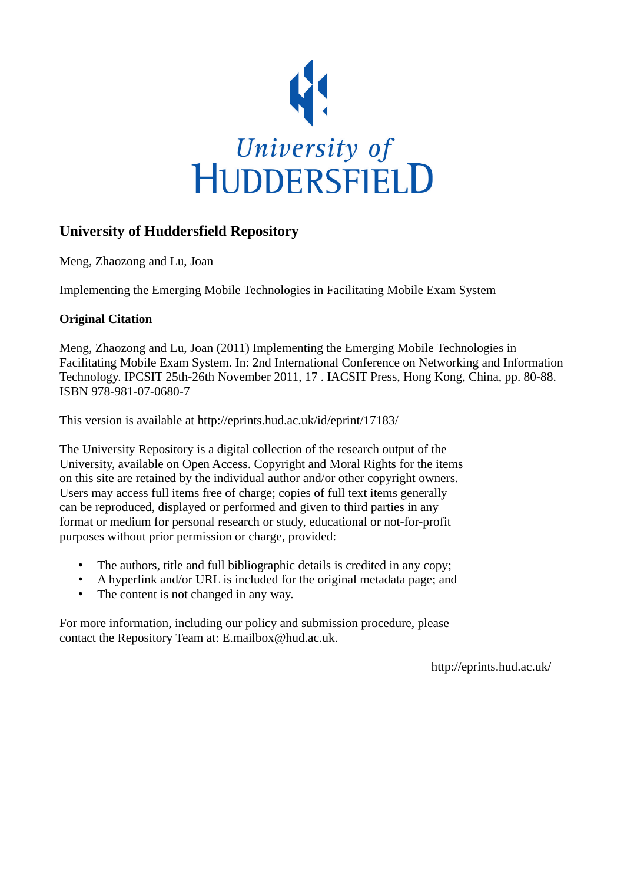

# **University of Huddersfield Repository**

Meng, Zhaozong and Lu, Joan

Implementing the Emerging Mobile Technologies in Facilitating Mobile Exam System

# **Original Citation**

Meng, Zhaozong and Lu, Joan (2011) Implementing the Emerging Mobile Technologies in Facilitating Mobile Exam System. In: 2nd International Conference on Networking and Information Technology. IPCSIT 25th-26th November 2011, 17 . IACSIT Press, Hong Kong, China, pp. 80-88. ISBN 978-981-07-0680-7

This version is available at http://eprints.hud.ac.uk/id/eprint/17183/

The University Repository is a digital collection of the research output of the University, available on Open Access. Copyright and Moral Rights for the items on this site are retained by the individual author and/or other copyright owners. Users may access full items free of charge; copies of full text items generally can be reproduced, displayed or performed and given to third parties in any format or medium for personal research or study, educational or not-for-profit purposes without prior permission or charge, provided:

- The authors, title and full bibliographic details is credited in any copy;
- A hyperlink and/or URL is included for the original metadata page; and
- The content is not changed in any way.

For more information, including our policy and submission procedure, please contact the Repository Team at: E.mailbox@hud.ac.uk.

http://eprints.hud.ac.uk/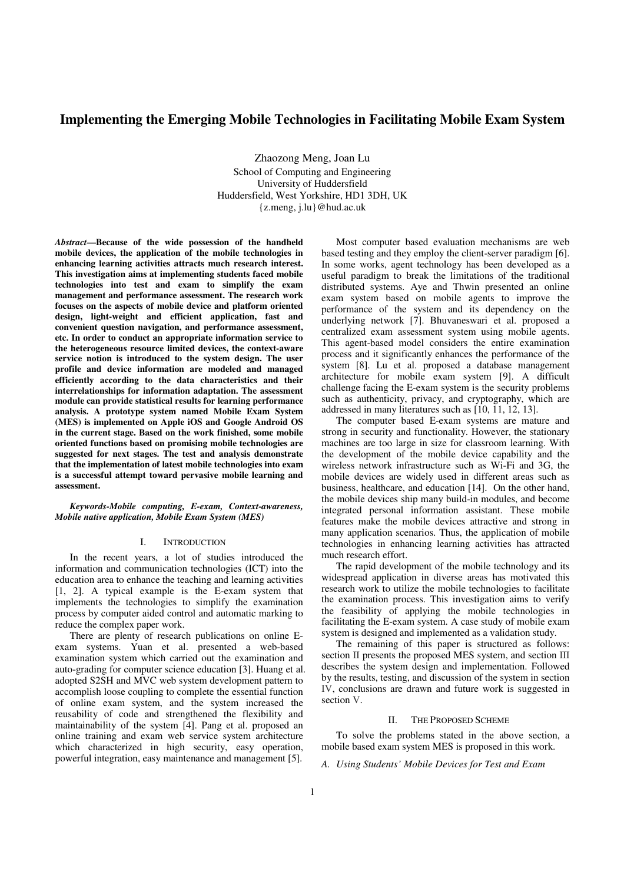# **Implementing the Emerging Mobile Technologies in Facilitating Mobile Exam System**

Zhaozong Meng, Joan Lu School of Computing and Engineering University of Huddersfield Huddersfield, West Yorkshire, HD1 3DH, UK {z.meng, j.lu}@hud.ac.uk

*Abstract***—Because of the wide possession of the handheld mobile devices, the application of the mobile technologies in enhancing learning activities attracts much research interest. This investigation aims at implementing students faced mobile technologies into test and exam to simplify the exam management and performance assessment. The research work focuses on the aspects of mobile device and platform oriented design, light-weight and efficient application, fast and convenient question navigation, and performance assessment, etc. In order to conduct an appropriate information service to the heterogeneous resource limited devices, the context-aware service notion is introduced to the system design. The user profile and device information are modeled and managed efficiently according to the data characteristics and their interrelationships for information adaptation. The assessment module can provide statistical results for learning performance analysis. A prototype system named Mobile Exam System (MES) is implemented on Apple iOS and Google Android OS in the current stage. Based on the work finished, some mobile oriented functions based on promising mobile technologies are suggested for next stages. The test and analysis demonstrate that the implementation of latest mobile technologies into exam is a successful attempt toward pervasive mobile learning and assessment.** 

*Keywords-Mobile computing, E-exam, Context-awareness, Mobile native application, Mobile Exam System (MES)*

#### I. INTRODUCTION

In the recent years, a lot of studies introduced the information and communication technologies (ICT) into the education area to enhance the teaching and learning activities [1, 2]. A typical example is the E-exam system that implements the technologies to simplify the examination process by computer aided control and automatic marking to reduce the complex paper work.

There are plenty of research publications on online Eexam systems. Yuan et al. presented a web-based examination system which carried out the examination and auto-grading for computer science education [3]. Huang et al. adopted S2SH and MVC web system development pattern to accomplish loose coupling to complete the essential function of online exam system, and the system increased the reusability of code and strengthened the flexibility and maintainability of the system [4]. Pang et al. proposed an online training and exam web service system architecture which characterized in high security, easy operation, powerful integration, easy maintenance and management [5].

Most computer based evaluation mechanisms are web based testing and they employ the client-server paradigm [6]. In some works, agent technology has been developed as a useful paradigm to break the limitations of the traditional distributed systems. Aye and Thwin presented an online exam system based on mobile agents to improve the performance of the system and its dependency on the underlying network [7]. Bhuvaneswari et al. proposed a centralized exam assessment system using mobile agents. This agent-based model considers the entire examination process and it significantly enhances the performance of the system [8]. Lu et al. proposed a database management architecture for mobile exam system [9]. A difficult challenge facing the E-exam system is the security problems such as authenticity, privacy, and cryptography, which are addressed in many literatures such as [10, 11, 12, 13].

The computer based E-exam systems are mature and strong in security and functionality. However, the stationary machines are too large in size for classroom learning. With the development of the mobile device capability and the wireless network infrastructure such as Wi-Fi and 3G, the mobile devices are widely used in different areas such as business, healthcare, and education [14]. On the other hand, the mobile devices ship many build-in modules, and become integrated personal information assistant. These mobile features make the mobile devices attractive and strong in many application scenarios. Thus, the application of mobile technologies in enhancing learning activities has attracted much research effort.

The rapid development of the mobile technology and its widespread application in diverse areas has motivated this research work to utilize the mobile technologies to facilitate the examination process. This investigation aims to verify the feasibility of applying the mobile technologies in facilitating the E-exam system. A case study of mobile exam system is designed and implemented as a validation study.

The remaining of this paper is structured as follows: section II presents the proposed MES system, and section III describes the system design and implementation. Followed by the results, testing, and discussion of the system in section IV, conclusions are drawn and future work is suggested in section V.

#### II. THE PROPOSED SCHEME

To solve the problems stated in the above section, a mobile based exam system MES is proposed in this work.

*A. Using Students' Mobile Devices for Test and Exam*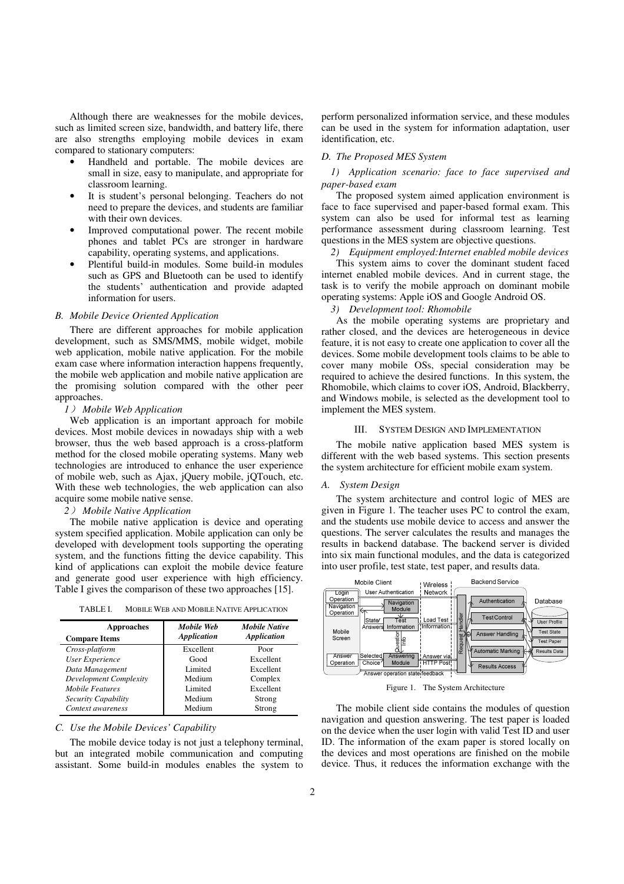Although there are weaknesses for the mobile devices, such as limited screen size, bandwidth, and battery life, there are also strengths employing mobile devices in exam compared to stationary computers:

- Handheld and portable. The mobile devices are small in size, easy to manipulate, and appropriate for classroom learning.
- It is student's personal belonging. Teachers do not need to prepare the devices, and students are familiar with their own devices.
- Improved computational power. The recent mobile phones and tablet PCs are stronger in hardware capability, operating systems, and applications.
- Plentiful build-in modules. Some build-in modules such as GPS and Bluetooth can be used to identify the students' authentication and provide adapted information for users.

#### *B. Mobile Device Oriented Application*

There are different approaches for mobile application development, such as SMS/MMS, mobile widget, mobile web application, mobile native application. For the mobile exam case where information interaction happens frequently, the mobile web application and mobile native application are the promising solution compared with the other peer approaches.

#### *1*) *Mobile Web Application*

Web application is an important approach for mobile devices. Most mobile devices in nowadays ship with a web browser, thus the web based approach is a cross-platform method for the closed mobile operating systems. Many web technologies are introduced to enhance the user experience of mobile web, such as Ajax, jQuery mobile, jQTouch, etc. With these web technologies, the web application can also acquire some mobile native sense.

# *2*) *Mobile Native Application*

The mobile native application is device and operating system specified application. Mobile application can only be developed with development tools supporting the operating system, and the functions fitting the device capability. This kind of applications can exploit the mobile device feature and generate good user experience with high efficiency. Table I gives the comparison of these two approaches [15].

TABLE I. MOBILE WEB AND MOBILE NATIVE APPLICATION

| <b>Approaches</b><br><b>Compare Items</b> | Mobile Web<br><b>Application</b> | <b>Mobile Native</b><br><b>Application</b> |
|-------------------------------------------|----------------------------------|--------------------------------------------|
| Cross-platform                            | Excellent                        | Poor                                       |
| User Experience                           | Good                             | Excellent                                  |
| Data Management                           | Limited                          | Excellent                                  |
| Development Complexity                    | Medium                           | Complex                                    |
| <b>Mobile Features</b>                    | Limited                          | Excellent                                  |
| Security Capability                       | Medium                           | Strong                                     |
| Context awareness                         | Medium                           | Strong                                     |

#### *C. Use the Mobile Devices' Capability*

The mobile device today is not just a telephony terminal. but an integrated mobile communication and computing assistant. Some build-in modules enables the system to

perform personalized information service, and these modules can be used in the system for information adaptation, user identification, etc.

# *D. The Proposed MES System*

# *1) Application scenario: face to face supervised and paper-based exam*

The proposed system aimed application environment is face to face supervised and paper-based formal exam. This system can also be used for informal test as learning performance assessment during classroom learning. Test questions in the MES system are objective questions.

*2) Equipment employed:Internet enabled mobile devices* 

This system aims to cover the dominant student faced internet enabled mobile devices. And in current stage, the task is to verify the mobile approach on dominant mobile operating systems: Apple iOS and Google Android OS.

*3) Development tool: Rhomobile* 

As the mobile operating systems are proprietary and rather closed, and the devices are heterogeneous in device feature, it is not easy to create one application to cover all the devices. Some mobile development tools claims to be able to cover many mobile OSs, special consideration may be required to achieve the desired functions. In this system, the Rhomobile, which claims to cover iOS, Android, Blackberry, and Windows mobile, is selected as the development tool to implement the MES system.

#### III. SYSTEM DESIGN AND IMPLEMENTATION

The mobile native application based MES system is different with the web based systems. This section presents the system architecture for efficient mobile exam system.

#### *A. System Design*

The system architecture and control logic of MES are given in Figure 1. The teacher uses PC to control the exam, and the students use mobile device to access and answer the questions. The server calculates the results and manages the results in backend database. The backend server is divided into six main functional modules, and the data is categorized into user profile, test state, test paper, and results data.



Figure 1. The System Architecture

The mobile client side contains the modules of question navigation and question answering. The test paper is loaded on the device when the user login with valid Test ID and user ID. The information of the exam paper is stored locally on the devices and most operations are finished on the mobile device. Thus, it reduces the information exchange with the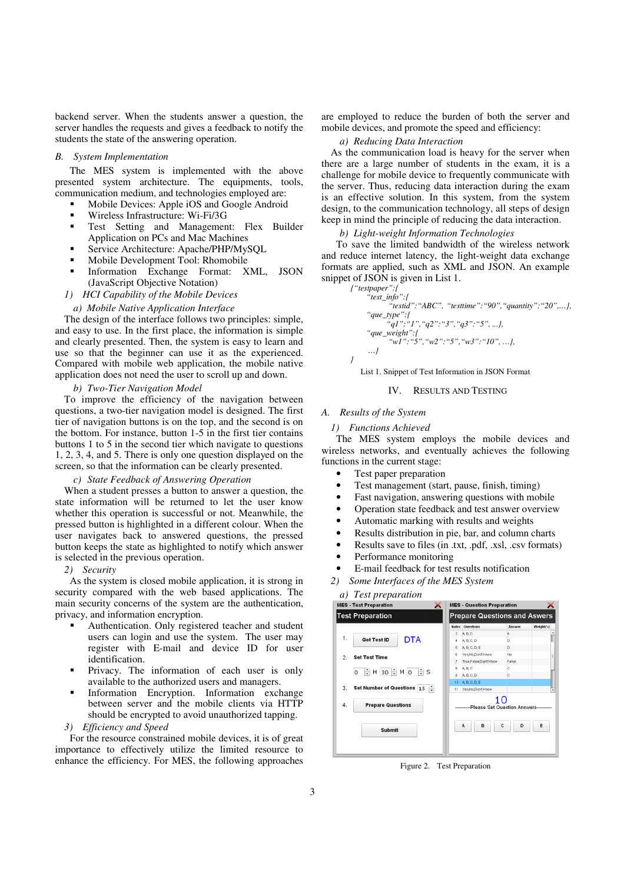backend server. When the students answer a question, the server handles the requests and gives a feedback to notify the students the state of the answering operation.

# *B. System Implementation*

The MES system is implemented with the above presented system architecture. The equipments, tools, communication medium, and technologies employed are:

- Mobile Devices: Apple iOS and Google Android
- Wireless Infrastructure: Wi-Fi/3G
- Test Setting and Management: Flex Builder Application on PCs and Mac Machines
- Service Architecture: Apache/PHP/MySQL
- Mobile Development Tool: Rhomobile
- Information Exchange Format: XML, JSON (JavaScript Objective Notation)
- *1) HCI Capability of the Mobile Devices*
- *a) Mobile Native Application Interface*

The design of the interface follows two principles: simple, and easy to use. In the first place, the information is simple and clearly presented. Then, the system is easy to learn and use so that the beginner can use it as the experienced. Compared with mobile web application, the mobile native application does not need the user to scroll up and down.

#### *b) Two-Tier Navigation Model*

To improve the efficiency of the navigation between questions, a two-tier navigation model is designed. The first tier of navigation buttons is on the top, and the second is on the bottom. For instance, button 1-5 in the first tier contains buttons 1 to 5 in the second tier which navigate to questions 1, 2, 3, 4, and 5. There is only one question displayed on the screen, so that the information can be clearly presented.

#### *c) State Feedback of Answering Operation*

When a student presses a button to answer a question, the state information will be returned to let the user know whether this operation is successful or not. Meanwhile, the pressed button is highlighted in a different colour. When the user navigates back to answered questions, the pressed button keeps the state as highlighted to notify which answer is selected in the previous operation.

#### *2) Security*

As the system is closed mobile application, it is strong in security compared with the web based applications. The main security concerns of the system are the authentication, privacy, and information encryption.

- Authentication. Only registered teacher and student users can login and use the system. The user may register with E-mail and device ID for user identification.
- Privacy. The information of each user is only available to the authorized users and managers.
- Information Encryption. Information exchange between server and the mobile clients via HTTP should be encrypted to avoid unauthorized tapping.
- *3) Efficiency and Speed*

For the resource constrained mobile devices, it is of great importance to effectively utilize the limited resource to enhance the efficiency. For MES, the following approaches are employed to reduce the burden of both the server and mobile devices, and promote the speed and efficiency:

#### *a) Reducing Data Interaction*

As the communication load is heavy for the server when there are a large number of students in the exam, it is a challenge for mobile device to frequently communicate with the server. Thus, reducing data interaction during the exam is an effective solution. In this system, from the system design, to the communication technology, all steps of design keep in mind the principle of reducing the data interaction.

#### *b) Light-weight Information Technologies*

To save the limited bandwidth of the wireless network and reduce internet latency, the light-weight data exchange formats are applied, such as XML and JSON. An example snippet of JSON is given in List 1.



List 1. Snippet of Test Information in JSON Format

#### IV. RESULTS AND TESTING

# *A. Results of the System*

#### *1) Functions Achieved*

The MES system employs the mobile devices and wireless networks, and eventually achieves the following functions in the current stage:

- Test paper preparation
- Test management (start, pause, finish, timing)
- Fast navigation, answering questions with mobile
- Operation state feedback and test answer overview
- Automatic marking with results and weights
- Results distribution in pie, bar, and column charts
- Results save to files (in .txt, .pdf, .xsl, .csv formats)
- Performance monitoring
- E-mail feedback for test results notification
- *2) Some Interfaces of the MES System*

*a) Test preparation* 

|                                                                | <b>MES - Test Preparation</b>           |                                      | <b>MES - Question Preparation</b> |        |           |
|----------------------------------------------------------------|-----------------------------------------|--------------------------------------|-----------------------------------|--------|-----------|
| <b>Test Preparation</b><br><b>Prepare Questions and Aswers</b> |                                         |                                      |                                   |        |           |
|                                                                |                                         | Index                                | <b>Questions</b>                  | Answer | Weight(%) |
|                                                                |                                         | 3                                    | A.B.C                             | Α      |           |
| 1.                                                             | <b>DTA</b><br><b>Get Test ID</b>        | 4                                    | A, B, C, D                        | D      |           |
|                                                                |                                         | 5                                    | A, B, C, D, E                     | D      |           |
| <b>Set Test Time</b><br>$\overline{2}$ .                       |                                         | 6                                    | Yes, No, Don't Know               | No     | Ξ         |
|                                                                |                                         | 7                                    | True,False,DontKnow               | False  |           |
|                                                                | $H$ 30 $\div$ M 0<br>÷s<br>÷<br>$\circ$ | 8                                    | A.B.C                             | с      |           |
|                                                                |                                         | 9                                    | A.B.C.D                           | Ċ      |           |
|                                                                |                                         | 10                                   | A.B.C.D.E                         |        |           |
| 3.                                                             | Set Number of Questions 15<br>÷         |                                      | 11 Yes, No, Don't Know            |        |           |
| 4.                                                             | <b>Prepare Questions</b>                | 10<br>-Please Set Question Answers-- |                                   |        |           |
|                                                                | <b>Submit</b>                           |                                      | A<br>в                            | c<br>D | E         |

Figure 2. Test Preparation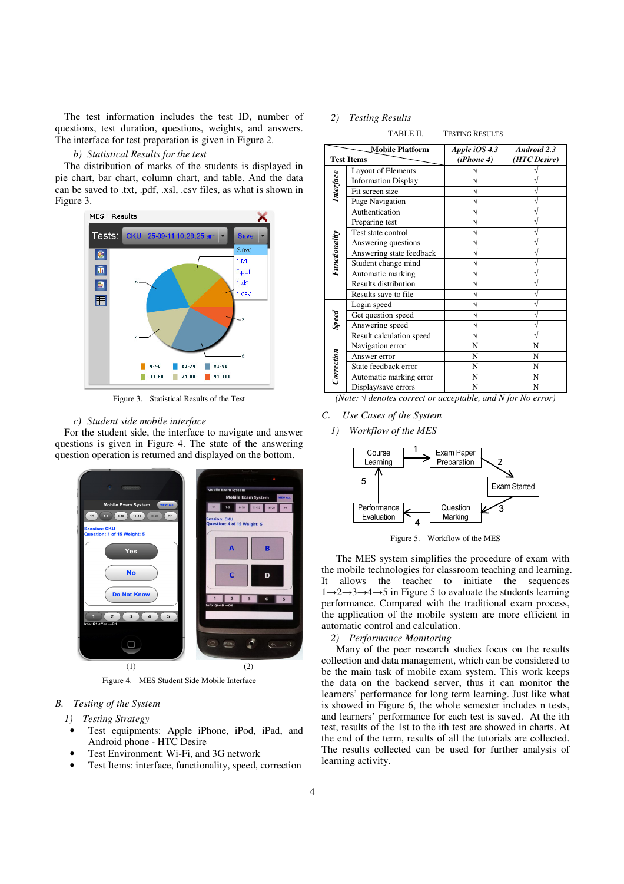The test information includes the test ID, number of questions, test duration, questions, weights, and answers. The interface for test preparation is given in Figure 2.

# *b) Statistical Results for the test*

The distribution of marks of the students is displayed in pie chart, bar chart, column chart, and table. And the data can be saved to .txt, .pdf, .xsl, .csv files, as what is shown in Figure 3.



Figure 3. Statistical Results of the Test

### *c) Student side mobile interface*

For the student side, the interface to navigate and answer questions is given in Figure 4. The state of the answering question operation is returned and displayed on the bottom.



Figure 4. MES Student Side Mobile Interface

- *B. Testing of the System* 
	- *1) Testing Strategy*
	- Test equipments: Apple iPhone, iPod, iPad, and Android phone - HTC Desire
	- Test Environment: Wi-Fi, and 3G network
	- Test Items: interface, functionality, speed, correction

#### *2) Testing Results*

TABLE II. TESTING RESULTS

| <b>Mobile Platform</b> |                            | Apple $iOS 4.3$ | Android 2.3  |
|------------------------|----------------------------|-----------------|--------------|
| <b>Test Items</b>      |                            | (iPhone 4)      | (HTC Desire) |
| Interface              | Layout of Elements         |                 |              |
|                        | <b>Information Display</b> |                 |              |
|                        | Fit screen size            |                 |              |
|                        | Page Navigation            |                 |              |
| Functionality          | Authentication             |                 |              |
|                        | Preparing test             |                 |              |
|                        | Test state control         |                 |              |
|                        | Answering questions        |                 |              |
|                        | Answering state feedback   |                 |              |
|                        | Student change mind        |                 |              |
|                        | Automatic marking          |                 |              |
|                        | Results distribution       |                 |              |
|                        | Results save to file       |                 |              |
| Speed                  | Login speed                |                 |              |
|                        | Get question speed         |                 |              |
|                        | Answering speed            |                 |              |
|                        | Result calculation speed   |                 |              |
| Correction             | Navigation error           | N               | N            |
|                        | Answer error               | N               | N            |
|                        | State feedback error       | N               | N            |
|                        | Automatic marking error    | N               | N            |
|                        | Display/save errors        | N               | N            |

*(Note:* √ *denotes correct or acceptable, and N for No error)*

- *C. Use Cases of the System* 
	- *1) Workflow of the MES*



Figure 5. Workflow of the MES

The MES system simplifies the procedure of exam with the mobile technologies for classroom teaching and learning. It allows the teacher to initiate the sequences  $1\rightarrow 2\rightarrow 3\rightarrow 4\rightarrow 5$  in Figure 5 to evaluate the students learning performance. Compared with the traditional exam process, the application of the mobile system are more efficient in automatic control and calculation.

### *2) Performance Monitoring*

Many of the peer research studies focus on the results collection and data management, which can be considered to be the main task of mobile exam system. This work keeps the data on the backend server, thus it can monitor the learners' performance for long term learning. Just like what is showed in Figure 6, the whole semester includes n tests, and learners' performance for each test is saved. At the ith test, results of the 1st to the ith test are showed in charts. At the end of the term, results of all the tutorials are collected. The results collected can be used for further analysis of learning activity.